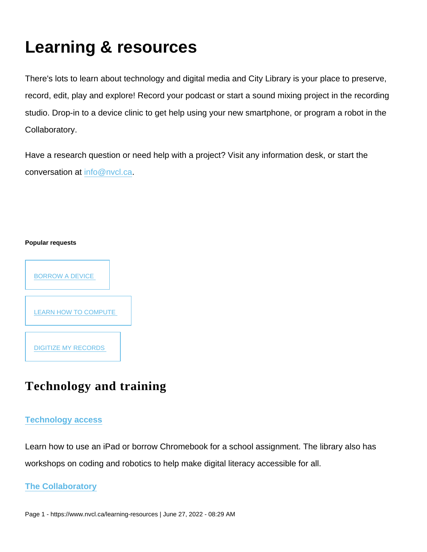# Learning & resources

There's lots to learn about technology and digital media and City Library is your place to preserve, record, edit, play and explore! Record your podcast or start a sound mixing project in the recording studio. Drop-in to a device clinic to get help using your new smartphone, or program a robot in the Collaboratory.

Have a research question or need help with a project? Visit any information desk, or start the conversation at [info@nvcl.ca.](mailto:info@nvcl.ca?Subject=Research help)

#### Popular requests



## Technology and training

#### [Technology access](https://www.nvcl.ca/borrow-device-or-kit)

Learn how to use an iPad or borrow Chromebook for a school assignment. The library also has workshops on coding and robotics to help make digital literacy accessible for all.

[The Collaboratory](https://www.nvcl.ca/collaboratory)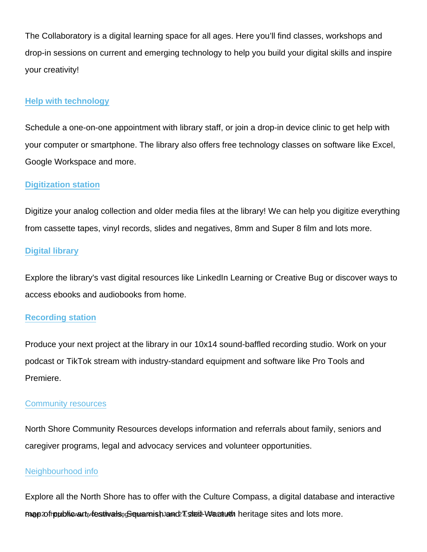The Collaboratory is a digital learning space for all ages. Here you'll find classes, workshops and drop-in sessions on current and emerging technology to help you build your digital skills and inspire your creativity!

#### [Help with technology](https://www.nvcl.ca/technology-help-digital-skills-coaching)

Schedule a one-on-one appointment with library staff, or join a drop-in device clinic to get help with your computer or smartphone. The library also offers free technology classes on software like Excel, Google Workspace and more.

#### [Digitization station](https://www.nvcl.ca/digitization-station)

Digitize your analog collection and older media files at the library! We can help you digitize everything from cassette tapes, vinyl records, slides and negatives, 8mm and Super 8 film and lots more.

#### [Digital library](https://www.nvcl.ca/digital-library)

Explore the library's vast digital resources like LinkedIn Learning or Creative Bug or discover ways to access ebooks and audiobooks from home.

#### [Recording station](https://www.nvcl.ca/recording-station)

Produce your next project at the library in our 10x14 sound-baffled recording studio. Work on your podcast or TikTok stream with industry-standard equipment and software like Pro Tools and Premiere.

#### [Community resources](https://www.nscr.ca/)

North Shore Community Resources develops information and referrals about family, seniors and caregiver programs, legal and advocacy services and volunteer opportunities.

#### [Neighbourhood info](https://www.northshoreculturecompass.ca/)

Explore all the North Shore has to offer with the Culture Compass, a digital database and interactive map of hup by investivation and Supering and Tennish and Tennish and Tune 2 - https://www.nucl.ca/learning-res